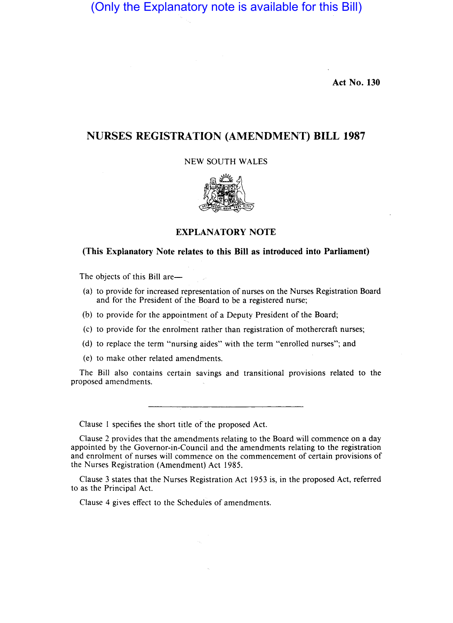# (Only the Explanatory note is available for this Bill)

Act No. 130

# NURSES REGISTRATION (AMENDMENT) BILL 1987

NEW SOUTH WALES



EXPLANATORY NOTE

## (This Explanatory Note relates to this Bill as introduced into Parliament)

The objects of this Bill are-

- (a) to provide for increased representation of nurses on the Nurses Registration Board and for the President of the Board to be a registered nurse; , //
- (b) to provide for the appointment of a Deputy President of the Board;
- (c) to provide for the enrolment rather than registration of mothercraft nurses;
- (d) to replace the term "nursing aides" with the term "enrolled nurses"; and
- (e) to make other related amendments.

The Bill also contains certain savings and transitional provisions related to the proposed amendments.

Clause 1 specifies the short title of'the proposed Act.

Clause 2 provides that the amendments relating to the Board will commence on a day appointed by the Governor-in-Council and the amendments relating to the registration and enrolment of nurses will commence on the commencement of certain provisions of the Nurses Registration (Amendment} Act 1985.

Clause 3 states that the Nurses Registration Act 1953 is, in the proposed Act, referred to as the Principal Act.

Clause 4 gives effect to the Schedules of amendments.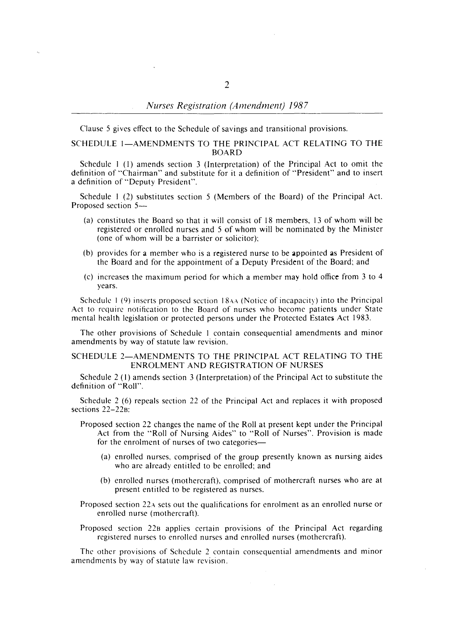Clause 5 gives effect to the Schedule of savings and transitional provisions.

### SCHEDULE 1-AMENDMENTS TO THE PRINCIPAL ACT RELATING TO THE BOARD

Schedule I (I) amends section 3 (Interpretation) of the Principal Act to omit the definition of "Chairman" and substitute for it a definition of "President" and to insert a definition of "Deputy President".

Schedule I (2) substitutes section 5 (Members of the Board) of the Principal Act. Proposed section 5-

- (a) constitutes the Board so that it will consist of 18 members, 13 of whom will be registered or enrolled nurses and 5 of whom will be nominated by the Minister (one of whom will be a barrister or solicitor);
- (b) provides for a member who is a registered nurse to be appointed as President of the Board and for the appointment of a Deputy President of the Board; and
- (c) increases the maximum period for which a member may hold office from  $3$  to  $4$ years.

Schedule I (9) inserts proposed section 18AA (Notice of incapacity) into the Principal Act to require notification to the Board of nurses who become patients under State mental health legislation or protected persons under the Protected Estates Act 1983.

The other provisions of Schedule I contain consequential amendments and minor amendments by way of statute law revision.

#### SCHEDULE 2-AMENDMENTS TO THE PRINCIPAL ACT RELATING TO THE ENROLMENT AND REGISTRATION OF NURSES

Schedule 2 (I) amends section 3 (Interpretation) of the Principal Act to substitute the definition of "Roll".

Schedule 2 (6) repeals section 22 of the Principal Act and replaces it with proposed sections 22-22B:

- Proposed section 22 changes the name of the Roll at present kept under the Principal Act from the "Roll of Nursing Aides" to "Roll of Nurses". Provision is made for the enrolment of nurses of two categories-
	- (a) enrolled nurses, comprised of the group presently known as nursing aides who are already entitled to be enrolled; and
	- (b) enrolled nurses (mothercraft), comprised of mothercraft nurses who are at present entitled to be registered as nurses.
- Proposed section 22A sets out the qualifications for enrolment as an enrolled nurse or enrolled nurse (mothercraft).
- Proposed section 22B applies certain provisions of the Principal Act regarding registered nurses to enrolled nurses and enrolled nurses (mothercraft).

The other provisions of Schedule 2 contain consequential amendments and minor amendments by way of statute law revision.